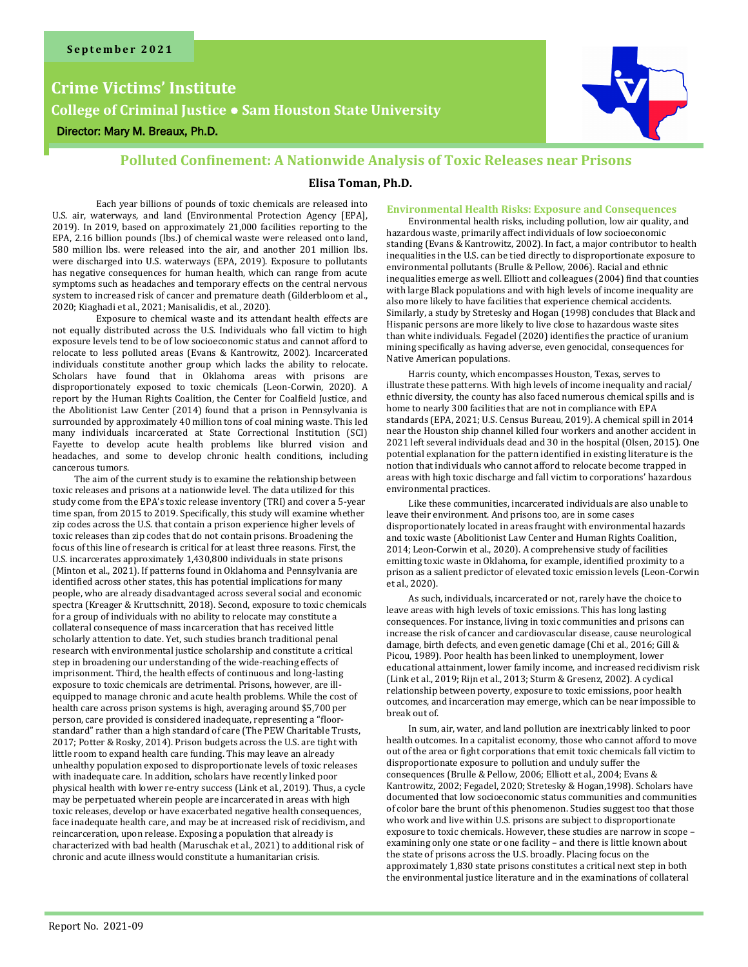## **Crime Victims' Institute**

**College of Criminal Justice** ● **Sam Houston State University**

#### Director: Mary M. Breaux, Ph.D.



#### **Polluted Confinement: A Nationwide Analysis of Toxic Releases near Prisons**

#### **Elisa Toman, Ph.D.**

Each year billions of pounds of toxic chemicals are released into U.S. air, waterways, and land (Environmental Protection Agency [EPA], 2019). In 2019, based on approximately 21,000 facilities reporting to the EPA, 2.16 billion pounds (lbs.) of chemical waste were released onto land, 580 million lbs. were released into the air, and another 201 million lbs. were discharged into U.S. waterways (EPA, 2019). Exposure to pollutants has negative consequences for human health, which can range from acute symptoms such as headaches and temporary effects on the central nervous system to increased risk of cancer and premature death (Gilderbloom et al., 2020; Kiaghadi et al., 2021; Manisalidis, et al., 2020).

Exposure to chemical waste and its attendant health effects are not equally distributed across the U.S. Individuals who fall victim to high exposure levels tend to be of low socioeconomic status and cannot afford to relocate to less polluted areas (Evans & Kantrowitz, 2002). Incarcerated individuals constitute another group which lacks the ability to relocate. Scholars have found that in Oklahoma areas with prisons are disproportionately exposed to toxic chemicals (Leon-Corwin, 2020). A report by the Human Rights Coalition, the Center for Coalfield Justice, and the Abolitionist Law Center (2014) found that a prison in Pennsylvania is surrounded by approximately 40 million tons of coal mining waste. This led many individuals incarcerated at State Correctional Institution (SCI) Fayette to develop acute health problems like blurred vision and headaches, and some to develop chronic health conditions, including cancerous tumors.

The aim of the current study is to examine the relationship between toxic releases and prisons at a nationwide level. The data utilized for this study come from the EPA's toxic release inventory (TRI) and cover a 5-year time span, from 2015 to 2019. Specifically, this study will examine whether zip codes across the U.S. that contain a prison experience higher levels of toxic releases than zip codes that do not contain prisons. Broadening the focus of this line of research is critical for at least three reasons. First, the U.S. incarcerates approximately 1,430,800 individuals in state prisons (Minton et al., 2021). If patterns found in Oklahoma and Pennsylvania are identified across other states, this has potential implications for many people, who are already disadvantaged across several social and economic spectra (Kreager & Kruttschnitt, 2018). Second, exposure to toxic chemicals for a group of individuals with no ability to relocate may constitute a collateral consequence of mass incarceration that has received little scholarly attention to date. Yet, such studies branch traditional penal research with environmental justice scholarship and constitute a critical step in broadening our understanding of the wide-reaching effects of imprisonment. Third, the health effects of continuous and long-lasting exposure to toxic chemicals are detrimental. Prisons, however, are illequipped to manage chronic and acute health problems. While the cost of health care across prison systems is high, averaging around \$5,700 per person, care provided is considered inadequate, representing a "floorstandard" rather than a high standard of care (The PEW Charitable Trusts, 2017; Potter & Rosky, 2014). Prison budgets across the U.S. are tight with little room to expand health care funding. This may leave an already unhealthy population exposed to disproportionate levels of toxic releases with inadequate care. In addition, scholars have recently linked poor physical health with lower re-entry success (Link et al., 2019). Thus, a cycle may be perpetuated wherein people are incarcerated in areas with high toxic releases, develop or have exacerbated negative health consequences, face inadequate health care, and may be at increased risk of recidivism, and reincarceration, upon release. Exposing a population that already is characterized with bad health (Maruschak et al., 2021) to additional risk of chronic and acute illness would constitute a humanitarian crisis.

#### **Environmental Health Risks: Exposure and Consequences**

Environmental health risks, including pollution, low air quality, and hazardous waste, primarily affect individuals of low socioeconomic standing (Evans & Kantrowitz, 2002). In fact, a major contributor to health inequalities in the U.S. can be tied directly to disproportionate exposure to environmental pollutants (Brulle & Pellow, 2006). Racial and ethnic inequalities emerge as well. Elliott and colleagues (2004) find that counties with large Black populations and with high levels of income inequality are also more likely to have facilities that experience chemical accidents. Similarly, a study by Stretesky and Hogan (1998) concludes that Black and Hispanic persons are more likely to live close to hazardous waste sites than white individuals. Fegadel (2020) identifies the practice of uranium mining specifically as having adverse, even genocidal, consequences for Native American populations.

Harris county, which encompasses Houston, Texas, serves to illustrate these patterns. With high levels of income inequality and racial/ ethnic diversity, the county has also faced numerous chemical spills and is home to nearly 300 facilities that are not in compliance with EPA standards (EPA, 2021; U.S. Census Bureau, 2019). A chemical spill in 2014 near the Houston ship channel killed four workers and another accident in 2021 left several individuals dead and 30 in the hospital (Olsen, 2015). One potential explanation for the pattern identified in existing literature is the notion that individuals who cannot afford to relocate become trapped in areas with high toxic discharge and fall victim to corporations' hazardous environmental practices.

Like these communities, incarcerated individuals are also unable to leave their environment. And prisons too, are in some cases disproportionately located in areas fraught with environmental hazards and toxic waste (Abolitionist Law Center and Human Rights Coalition, 2014; Leon-Corwin et al., 2020). A comprehensive study of facilities emitting toxic waste in Oklahoma, for example, identified proximity to a prison as a salient predictor of elevated toxic emission levels (Leon-Corwin et al., 2020).

As such, individuals, incarcerated or not, rarely have the choice to leave areas with high levels of toxic emissions. This has long lasting consequences. For instance, living in toxic communities and prisons can increase the risk of cancer and cardiovascular disease, cause neurological damage, birth defects, and even genetic damage (Chi et al., 2016; Gill & Picou, 1989). Poor health has been linked to unemployment, lower educational attainment, lower family income, and increased recidivism risk (Link et al., 2019; Rijn et al., 2013; Sturm & Gresenz, 2002). A cyclical relationship between poverty, exposure to toxic emissions, poor health outcomes, and incarceration may emerge, which can be near impossible to break out of.

In sum, air, water, and land pollution are inextricably linked to poor health outcomes. In a capitalist economy, those who cannot afford to move out of the area or fight corporations that emit toxic chemicals fall victim to disproportionate exposure to pollution and unduly suffer the consequences (Brulle & Pellow, 2006; Elliott et al., 2004; Evans & Kantrowitz, 2002; Fegadel, 2020; Stretesky & Hogan,1998). Scholars have documented that low socioeconomic status communities and communities of color bare the brunt of this phenomenon. Studies suggest too that those who work and live within U.S. prisons are subject to disproportionate exposure to toxic chemicals. However, these studies are narrow in scope – examining only one state or one facility – and there is little known about the state of prisons across the U.S. broadly. Placing focus on the approximately 1,830 state prisons constitutes a critical next step in both the environmental justice literature and in the examinations of collateral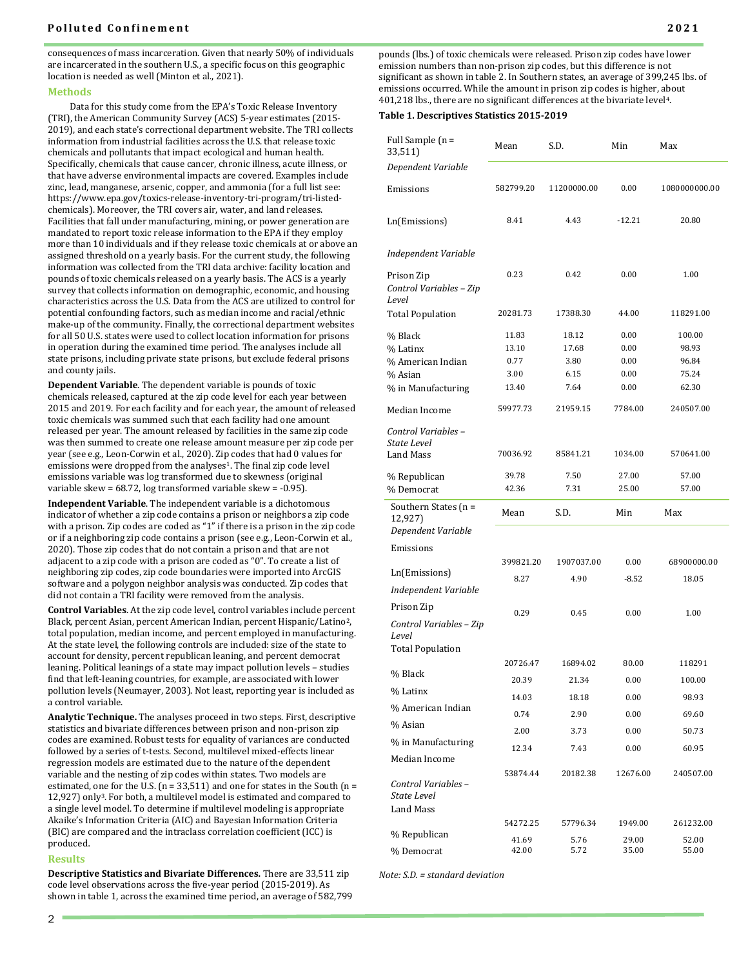#### **Polluted Confinement**

consequences of mass incarceration. Given that nearly 50% of individuals are incarcerated in the southern U.S., a specific focus on this geographic location is needed as well (Minton et al., 2021).

#### **Methods**

Data for this study come from the EPA's Toxic Release Inventory (TRI), the American Community Survey (ACS) 5-year estimates (2015- 2019), and each state's correctional department website. The TRI collects information from industrial facilities across the U.S. that release toxic chemicals and pollutants that impact ecological and human health. Specifically, chemicals that cause cancer, chronic illness, acute illness, or that have adverse environmental impacts are covered. Examples include zinc, lead, manganese, arsenic, copper, and ammonia (for a full list see: https://www.epa.gov/toxics-release-inventory-tri-program/tri-listedchemicals). Moreover, the TRI covers air, water, and land releases. Facilities that fall under manufacturing, mining, or power generation are mandated to report toxic release information to the EPA if they employ more than 10 individuals and if they release toxic chemicals at or above an assigned threshold on a yearly basis. For the current study, the following information was collected from the TRI data archive: facility location and pounds of toxic chemicals released on a yearly basis. The ACS is a yearly survey that collects information on demographic, economic, and housing characteristics across the U.S. Data from the ACS are utilized to control for potential confounding factors, such as median income and racial/ethnic make-up of the community. Finally, the correctional department websites for all 50 U.S. states were used to collect location information for prisons in operation during the examined time period. The analyses include all state prisons, including private state prisons, but exclude federal prisons and county jails.

**Dependent Variable**. The dependent variable is pounds of toxic chemicals released, captured at the zip code level for each year between 2015 and 2019. For each facility and for each year, the amount of released toxic chemicals was summed such that each facility had one amount released per year. The amount released by facilities in the same zip code was then summed to create one release amount measure per zip code per year (see e.g., Leon-Corwin et al., 2020). Zip codes that had 0 values for emissions were dropped from the analyses<sup>1</sup>. The final zip code level emissions variable was log transformed due to skewness (original variable skew = 68.72, log transformed variable skew = -0.95).

**Independent Variable**. The independent variable is a dichotomous indicator of whether a zip code contains a prison or neighbors a zip code with a prison. Zip codes are coded as "1" if there is a prison in the zip code or if a neighboring zip code contains a prison (see e.g., Leon-Corwin et al., 2020). Those zip codes that do not contain a prison and that are not adjacent to a zip code with a prison are coded as "0". To create a list of neighboring zip codes, zip code boundaries were imported into ArcGIS software and a polygon neighbor analysis was conducted. Zip codes that did not contain a TRI facility were removed from the analysis.

**Control Variables**. At the zip code level, control variables include percent Black, percent Asian, percent American Indian, percent Hispanic/Latino2, total population, median income, and percent employed in manufacturing. At the state level, the following controls are included: size of the state to account for density, percent republican leaning, and percent democrat leaning. Political leanings of a state may impact pollution levels – studies find that left-leaning countries, for example, are associated with lower pollution levels (Neumayer, 2003). Not least, reporting year is included as a control variable.

**Analytic Technique.** The analyses proceed in two steps. First, descriptive statistics and bivariate differences between prison and non-prison zip codes are examined. Robust tests for equality of variances are conducted followed by a series of t-tests. Second, multilevel mixed-effects linear regression models are estimated due to the nature of the dependent variable and the nesting of zip codes within states. Two models are estimated, one for the U.S. (n = 33,511) and one for states in the South (n = 12,927) only3. For both, a multilevel model is estimated and compared to a single level model. To determine if multilevel modeling is appropriate Akaike's Information Criteria (AIC) and Bayesian Information Criteria (BIC) are compared and the intraclass correlation coefficient (ICC) is produced.

#### **Results**

**Descriptive Statistics and Bivariate Differences.** There are 33,511 zip code level observations across the five-year period (2015-2019). As shown in table 1, across the examined time period, an average of 582,799 pounds (lbs.) of toxic chemicals were released. Prison zip codes have lower emission numbers than non-prison zip codes, but this difference is not significant as shown in table 2. In Southern states, an average of 399,245 lbs. of emissions occurred. While the amount in prison zip codes is higher, about 401,218 lbs., there are no significant differences at the bivariate level4.

#### **Table 1. Descriptives Statistics 2015-2019**

| Full Sample (n =<br>33,511)                            | Mean           | S.D.         | Min            | Max            |
|--------------------------------------------------------|----------------|--------------|----------------|----------------|
| Dependent Variable                                     |                |              |                |                |
| Emissions                                              | 582799.20      | 11200000.00  | 0.00           | 1080000000.00  |
| Ln(Emissions)                                          | 8.41           | 4.43         | $-12.21$       | 20.80          |
| Independent Variable                                   |                |              |                |                |
| Prison Zip<br>Control Variables - Zip<br>Level         | 0.23           | 0.42         | 0.00           | 1.00           |
| <b>Total Population</b>                                | 20281.73       | 17388.30     | 44.00          | 118291.00      |
| % Black                                                | 11.83          | 18.12        | 0.00           | 100.00         |
| % Latinx                                               | 13.10          | 17.68        | 0.00           | 98.93          |
| % American Indian                                      | 0.77           | 3.80         | 0.00           | 96.84          |
| % Asian                                                | 3.00           | 6.15         | 0.00           | 75.24          |
| % in Manufacturing                                     | 13.40          | 7.64         | 0.00           | 62.30          |
| Median Income                                          | 59977.73       | 21959.15     | 7784.00        | 240507.00      |
| Control Variables –<br>State Level<br><b>Land Mass</b> | 70036.92       | 85841.21     | 1034.00        | 570641.00      |
|                                                        |                |              |                |                |
| % Republican<br>% Democrat                             | 39.78<br>42.36 | 7.50<br>7.31 | 27.00<br>25.00 | 57.00<br>57.00 |
| Southern States $(n =$<br>12,927)                      | Mean           | S.D.         | Min            | Max            |
| Dependent Variable                                     |                |              |                |                |
| Emissions                                              |                |              |                |                |
|                                                        | 399821.20      | 1907037.00   | 0.00           | 68900000.00    |
| Ln(Emissions)                                          | 8.27           | 4.90         | $-8.52$        | 18.05          |
| Independent Variable                                   |                |              |                |                |
| Prison Zip                                             | 0.29           | 0.45         | 0.00           | 1.00           |
| Control Variables - Zip<br>Level                       |                |              |                |                |
| <b>Total Population</b>                                |                |              |                |                |
|                                                        | 20726.47       | 16894.02     | 80.00          | 118291         |
| % Black                                                | 20.39          | 21.34        | 0.00           | 100.00         |
| % Latinx                                               | 14.03          | 18.18        | 0.00           | 98.93          |
| % American Indian                                      | 0.74           | 2.90         | 0.00           | 69.60          |
| % Asian                                                | 2.00           | 3.73         | 0.00           | 50.73          |
| % in Manufacturing                                     | 12.34          | 7.43         | 0.00           | 60.95          |
| Median Income                                          |                |              |                |                |
| Control Variables-<br>State Level                      | 53874.44       | 20182.38     | 12676.00       | 240507.00      |
| Land Mass                                              |                |              |                |                |
|                                                        | 54272.25       | 57796.34     | 1949.00        | 261232.00      |
| % Republican                                           | 41.69          | 5.76         | 29.00          | 52.00          |
|                                                        | 42.00          | 5.72         | 35.00          | 55.00          |

*Note: S.D. = standard deviation*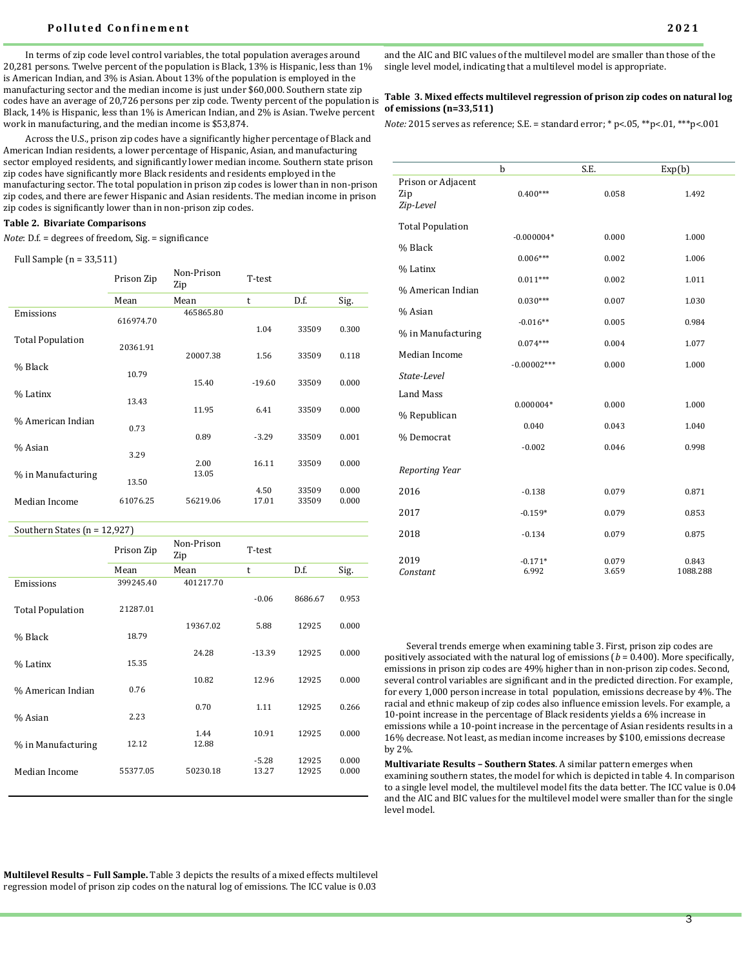#### **Polluted Confinement** 2021

In terms of zip code level control variables, the total population averages around 20,281 persons. Twelve percent of the population is Black, 13% is Hispanic, less than 1% is American Indian, and 3% is Asian. About 13% of the population is employed in the manufacturing sector and the median income is just under \$60,000. Southern state zip codes have an average of 20,726 persons per zip code. Twenty percent of the population is Black, 14% is Hispanic, less than 1% is American Indian, and 2% is Asian. Twelve percent work in manufacturing, and the median income is \$53,874.

Across the U.S., prison zip codes have a significantly higher percentage of Black and American Indian residents, a lower percentage of Hispanic, Asian, and manufacturing sector employed residents, and significantly lower median income. Southern state prison zip codes have significantly more Black residents and residents employed in the manufacturing sector. The total population in prison zip codes is lower than in non-prison zip codes, and there are fewer Hispanic and Asian residents. The median income in prison zip codes is significantly lower than in non-prison zip codes.

#### **Table 2. Bivariate Comparisons**

*Note*: D.f. = degrees of freedom, Sig. = significance

#### Full Sample (n = 33,511)

|                         | Prison Zip | Non-Prison<br>Zip | T-test   |       |       |
|-------------------------|------------|-------------------|----------|-------|-------|
|                         | Mean       | Mean              | t        | D.f.  | Sig.  |
| Emissions               | 616974.70  | 465865.80         | 1.04     | 33509 | 0.300 |
| <b>Total Population</b> | 20361.91   | 20007.38          | 1.56     | 33509 | 0.118 |
| % Black                 | 10.79      | 15.40             | $-19.60$ | 33509 | 0.000 |
| % Latinx                | 13.43      | 11.95             | 6.41     | 33509 | 0.000 |
| % American Indian       | 0.73       | 0.89              | $-3.29$  | 33509 | 0.001 |
| % Asian                 | 3.29       | 2.00              | 16.11    | 33509 | 0.000 |
| % in Manufacturing      | 13.50      | 13.05             | 4.50     | 33509 | 0.000 |
| Median Income           | 61076.25   | 56219.06          | 17.01    | 33509 | 0.000 |

Southern States (n = 12,927)

|                         | Prison Zip | Non-Prison<br>Zip | T-test           |                |                |
|-------------------------|------------|-------------------|------------------|----------------|----------------|
|                         | Mean       | Mean              | t                | D.f.           | Sig.           |
| Emissions               | 399245.40  | 401217.70         |                  |                |                |
| <b>Total Population</b> | 21287.01   |                   | $-0.06$          | 8686.67        | 0.953          |
| % Black                 | 18.79      | 19367.02          | 5.88             | 12925          | 0.000          |
| % Latinx                | 15.35      | 24.28             | $-13.39$         | 12925          | 0.000          |
| % American Indian       | 0.76       | 10.82             | 12.96            | 12925          | 0.000          |
| % Asian                 | 2.23       | 0.70              | 1.11             | 12925          | 0.266          |
| % in Manufacturing      | 12.12      | 1.44<br>12.88     | 10.91            | 12925          | 0.000          |
| Median Income           | 55377.05   | 50230.18          | $-5.28$<br>13.27 | 12925<br>12925 | 0.000<br>0.000 |

**Multilevel Results – Full Sample.** Table 3 depicts the results of a mixed effects multilevel regression model of prison zip codes on the natural log of emissions. The ICC value is 0.03

and the AIC and BIC values of the multilevel model are smaller than those of the single level model, indicating that a multilevel model is appropriate.

#### **Table 3. Mixed effects multilevel regression of prison zip codes on natural log of emissions (n=33,511)**

*Note:* 2015 serves as reference; S.E. = standard error; \* p<.05, \*\*p<.01, \*\*\*p<.001

|                                        | b                  | S.E.           | Exp(b)            |
|----------------------------------------|--------------------|----------------|-------------------|
| Prison or Adjacent<br>Zip<br>Zip-Level | $0.400***$         | 0.058          | 1.492             |
| <b>Total Population</b>                | $-0.000004*$       | 0.000          | 1.000             |
| % Black                                | $0.006***$         | 0.002          | 1.006             |
| % Latinx                               | $0.011***$         | 0.002          | 1.011             |
| % American Indian                      | $0.030***$         | 0.007          | 1.030             |
| % Asian                                | $-0.016**$         | 0.005          | 0.984             |
| % in Manufacturing                     | $0.074***$         | 0.004          | 1.077             |
| Median Income                          | $-0.00002***$      | 0.000          | 1.000             |
| State-Level                            |                    |                |                   |
| <b>Land Mass</b>                       | $0.000004*$        | 0.000          | 1.000             |
| % Republican                           | 0.040              | 0.043          | 1.040             |
| % Democrat                             | $-0.002$           | 0.046          | 0.998             |
| Reporting Year                         |                    |                |                   |
| 2016                                   | $-0.138$           | 0.079          | 0.871             |
| 2017                                   | $-0.159*$          | 0.079          | 0.853             |
| 2018                                   | $-0.134$           | 0.079          | 0.875             |
| 2019<br>Constant                       | $-0.171*$<br>6.992 | 0.079<br>3.659 | 0.843<br>1088.288 |

Several trends emerge when examining table 3. First, prison zip codes are positively associated with the natural log of emissions (*b* = 0.400). More specifically, emissions in prison zip codes are 49% higher than in non-prison zip codes. Second, several control variables are significant and in the predicted direction. For example, for every 1,000 person increase in total population, emissions decrease by 4%. The racial and ethnic makeup of zip codes also influence emission levels. For example, a 10-point increase in the percentage of Black residents yields a 6% increase in emissions while a 10-point increase in the percentage of Asian residents results in a 16% decrease. Not least, as median income increases by \$100, emissions decrease by 2%.

**Multivariate Results – Southern States**. A similar pattern emerges when examining southern states, the model for which is depicted in table 4. In comparison to a single level model, the multilevel model fits the data better. The ICC value is 0.04 and the AIC and BIC values for the multilevel model were smaller than for the single level model.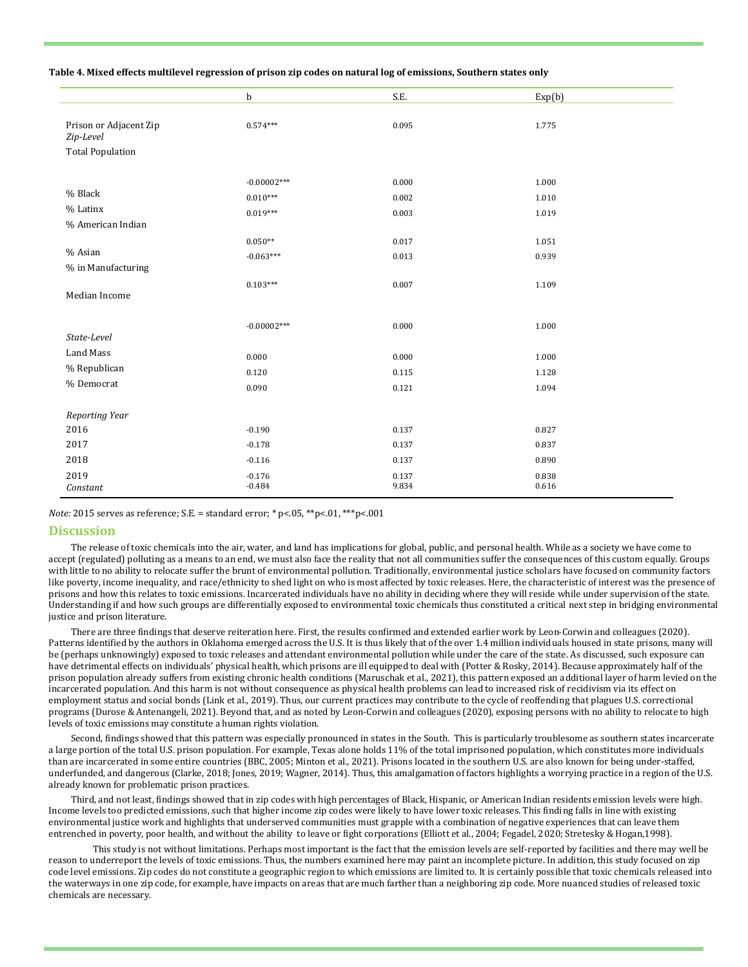#### **Table 4. Mixed effects multilevel regression of prison zip codes on natural log of emissions, Southern states only**

|                                     | $\mathbf b$   | S.E.  | Exp(b) |  |
|-------------------------------------|---------------|-------|--------|--|
|                                     |               |       |        |  |
| Prison or Adjacent Zip<br>Zip-Level | $0.574***$    | 0.095 | 1.775  |  |
| <b>Total Population</b>             |               |       |        |  |
|                                     |               |       |        |  |
| % Black                             | $-0.00002***$ | 0.000 | 1.000  |  |
| % Latinx                            | $0.010***$    | 0.002 | 1.010  |  |
| % American Indian                   | $0.019***$    | 0.003 | 1.019  |  |
|                                     |               |       |        |  |
| % Asian                             | $0.050**$     | 0.017 | 1.051  |  |
| % in Manufacturing                  | $-0.063***$   | 0.013 | 0.939  |  |
|                                     | $0.103***$    | 0.007 | 1.109  |  |
| Median Income                       |               |       |        |  |
|                                     |               |       |        |  |
|                                     | $-0.00002***$ | 0.000 | 1.000  |  |
| State-Level                         |               |       |        |  |
| Land Mass                           | 0.000         | 0.000 | 1.000  |  |
| % Republican                        | 0.120         | 0.115 | 1.128  |  |
| % Democrat                          | 0.090         | 0.121 | 1.094  |  |
|                                     |               |       |        |  |
| Reporting Year                      |               |       |        |  |
| 2016                                | $-0.190$      | 0.137 | 0.827  |  |
| 2017                                | $-0.178$      | 0.137 | 0.837  |  |
| 2018                                | $-0.116$      | 0.137 | 0.890  |  |
| 2019                                | $-0.176$      | 0.137 | 0.838  |  |
| Constant                            | $-0.484$      | 9.834 | 0.616  |  |

*Note:* 2015 serves as reference; S.E. = standard error; \* p<.05, \*\*p<.01, \*\*\*p<.001

#### **Discussion**

The release of toxic chemicals into the air, water, and land has implications for global, public, and personal health. While as a society we have come to accept (regulated) polluting as a means to an end, we must also face the reality that not all communities suffer the consequences of this custom equally. Groups with little to no ability to relocate suffer the brunt of environmental pollution. Traditionally, environmental justice scholars have focused on community factors like poverty, income inequality, and race/ethnicity to shed light on who is most affected by toxic releases. Here, the characteristic of interest was the presence of prisons and how this relates to toxic emissions. Incarcerated individuals have no ability in deciding where they will reside while under supervision of the state. Understanding if and how such groups are differentially exposed to environmental toxic chemicals thus constituted a critical next step in bridging environmental justice and prison literature.

There are three findings that deserve reiteration here. First, the results confirmed and extended earlier work by Leon-Corwin and colleagues (2020). Patterns identified by the authors in Oklahoma emerged across the U.S. It is thus likely that of the over 1.4 million individuals housed in state prisons, many will be (perhaps unknowingly) exposed to toxic releases and attendant environmental pollution while under the care of the state. As discussed, such exposure can have detrimental effects on individuals' physical health, which prisons are ill equipped to deal with (Potter & Rosky, 2014). Because approximately half of the prison population already suffers from existing chronic health conditions (Maruschak et al., 2021), this pattern exposed an additional layer of harm levied on the incarcerated population. And this harm is not without consequence as physical health problems can lead to increased risk of recidivism via its effect on employment status and social bonds (Link et al., 2019). Thus, our current practices may contribute to the cycle of reoffending that plagues U.S. correctional programs (Durose & Antenangeli, 2021). Beyond that, and as noted by Leon-Corwin and colleagues (2020), exposing persons with no ability to relocate to high levels of toxic emissions may constitute a human rights violation.

Second, findings showed that this pattern was especially pronounced in states in the South. This is particularly troublesome as southern states incarcerate a large portion of the total U.S. prison population. For example, Texas alone holds 11% of the total imprisoned population, which constitutes more individuals than are incarcerated in some entire countries (BBC, 2005; Minton et al., 2021). Prisons located in the southern U.S. are also known for being under-staffed, underfunded, and dangerous (Clarke, 2018; Jones, 2019; Wagner, 2014). Thus, this amalgamation of factors highlights a worrying practice in a region of the U.S. already known for problematic prison practices.

Third, and not least, findings showed that in zip codes with high percentages of Black, Hispanic, or American Indian residents emission levels were high. Income levels too predicted emissions, such that higher income zip codes were likely to have lower toxic releases. This finding falls in line with existing environmental justice work and highlights that underserved communities must grapple with a combination of negative experiences that can leave them entrenched in poverty, poor health, and without the ability to leave or fight corporations (Elliott et al., 2004; Fegadel, 2020; Stretesky & Hogan,1998).

This study is not without limitations. Perhaps most important is the fact that the emission levels are self-reported by facilities and there may well be reason to underreport the levels of toxic emissions. Thus, the numbers examined here may paint an incomplete picture. In addition, this study focused on zip code level emissions. Zip codes do not constitute a geographic region to which emissions are limited to. It is certainly possible that toxic chemicals released into the waterways in one zip code, for example, have impacts on areas that are much farther than a neighboring zip code. More nuanced studies of released toxic chemicals are necessary.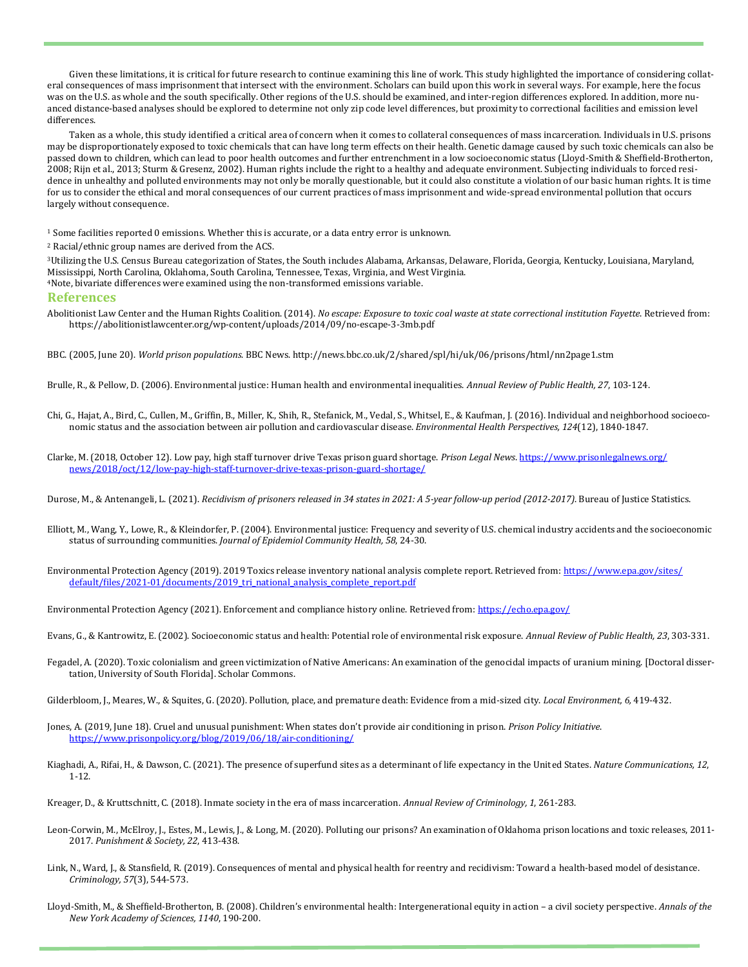Given these limitations, it is critical for future research to continue examining this line of work. This study highlighted the importance of considering collateral consequences of mass imprisonment that intersect with the environment. Scholars can build upon this work in several ways. For example, here the focus was on the U.S. as whole and the south specifically. Other regions of the U.S. should be examined, and inter-region differences explored. In addition, more nuanced distance-based analyses should be explored to determine not only zip code level differences, but proximity to correctional facilities and emission level differences.

Taken as a whole, this study identified a critical area of concern when it comes to collateral consequences of mass incarceration. Individuals in U.S. prisons may be disproportionately exposed to toxic chemicals that can have long term effects on their health. Genetic damage caused by such toxic chemicals can also be passed down to children, which can lead to poor health outcomes and further entrenchment in a low socioeconomic status (Lloyd-Smith & Sheffield-Brotherton, 2008; Rijn et al., 2013; Sturm & Gresenz, 2002). Human rights include the right to a healthy and adequate environment. Subjecting individuals to forced residence in unhealthy and polluted environments may not only be morally questionable, but it could also constitute a violation of our basic human rights. It is time for us to consider the ethical and moral consequences of our current practices of mass imprisonment and wide-spread environmental pollution that occurs largely without consequence.

<sup>1</sup> Some facilities reported 0 emissions. Whether this is accurate, or a data entry error is unknown.

<sup>2</sup> Racial/ethnic group names are derived from the ACS.

<sup>3</sup>Utilizing the U.S. Census Bureau categorization of States, the South includes Alabama, Arkansas, Delaware, Florida, Georgia, Kentucky, Louisiana, Maryland, Mississippi, North Carolina, Oklahoma, South Carolina, Tennessee, Texas, Virginia, and West Virginia.

<sup>4</sup>Note, bivariate differences were examined using the non-transformed emissions variable.

#### **References**

Abolitionist Law Center and the Human Rights Coalition. (2014). *No escape: Exposure to toxic coal waste at state correctional institution Fayette*. Retrieved from: https://abolitionistlawcenter.org/wp-content/uploads/2014/09/no-escape-3-3mb.pdf

BBC. (2005, June 20). *World prison populations*. BBC News. http://news.bbc.co.uk/2/shared/spl/hi/uk/06/prisons/html/nn2page1.stm

Brulle, R., & Pellow, D. (2006). Environmental justice: Human health and environmental inequalities. *Annual Review of Public Health, 27*, 103-124.

Chi, G., Hajat, A., Bird, C., Cullen, M., Griffin, B., Miller, K., Shih, R., Stefanick, M., Vedal, S., Whitsel, E., & Kaufman, J. (2016). Individual and neighborhood socioeconomic status and the association between air pollution and cardiovascular disease. *Environmental Health Perspectives, 124*(12), 1840-1847.

Clarke, M. (2018, October 12). Low pay, high staff turnover drive Texas prison guard shortage. *Prison Legal News*. [https://www.prisonlegalnews.org/](https://www.prisonlegalnews.org/news/2018/oct/12/low-pay-high-staff-turnover-drive-texas-prison-guard-shortage/) [news/2018/oct/12/low](https://www.prisonlegalnews.org/news/2018/oct/12/low-pay-high-staff-turnover-drive-texas-prison-guard-shortage/)-pay-high-staff-turnover-drive-texas-prison-guard-shortage/

Durose, M., & Antenangeli, L. (2021). *Recidivism of prisoners released in 34 states in 2021: A 5-year follow-up period (2012-2017)*. Bureau of Justice Statistics.

- Elliott, M., Wang, Y., Lowe, R., & Kleindorfer, P. (2004). Environmental justice: Frequency and severity of U.S. chemical industry accidents and the socioeconomic status of surrounding communities. *Journal of Epidemiol Community Health, 58*, 24-30.
- Environmental Protection Agency (2019). 2019 Toxics release inventory national analysis complete report. Retrieved from: [https://www.epa.gov/sites/](https://www.epa.gov/sites/default/files/2021-01/documents/2019_tri_national_analysis_complete_report.pdf) default/files/2021-[01/documents/2019\\_tri\\_national\\_analysis\\_complete\\_report.pdf](https://www.epa.gov/sites/default/files/2021-01/documents/2019_tri_national_analysis_complete_report.pdf)

Environmental Protection Agency (2021). Enforcement and compliance history online. Retrieved from: <https://echo.epa.gov/>

- Evans, G., & Kantrowitz, E. (2002). Socioeconomic status and health: Potential role of environmental risk exposure. *Annual Review of Public Health, 23*, 303-331.
- Fegadel, A. (2020). Toxic colonialism and green victimization of Native Americans: An examination of the genocidal impacts of uranium mining. [Doctoral dissertation, University of South Florida]. Scholar Commons.
- Gilderbloom, J., Meares, W., & Squites, G. (2020). Pollution, place, and premature death: Evidence from a mid-sized city. *Local Environment, 6,* 419-432.
- Jones, A. (2019, June 18). Cruel and unusual punishment: When states don't provide air conditioning in prison. *Prison Policy Initiative*. [https://www.prisonpolicy.org/blog/2019/06/18/air](https://www.prisonpolicy.org/blog/2019/06/18/air-conditioning/)-conditioning/
- Kiaghadi, A., Rifai, H., & Dawson, C. (2021). The presence of superfund sites as a determinant of life expectancy in the United States. *Nature Communications, 12*, 1-12.

Kreager, D., & Kruttschnitt, C. (2018). Inmate society in the era of mass incarceration. *Annual Review of Criminology, 1*, 261-283.

- Leon-Corwin, M., McElroy, J., Estes, M., Lewis, J., & Long, M. (2020). Polluting our prisons? An examination of Oklahoma prison locations and toxic releases, 2011- 2017. *Punishment & Society, 22*, 413-438.
- Link, N., Ward, J., & Stansfield, R. (2019). Consequences of mental and physical health for reentry and recidivism: Toward a health-based model of desistance. *Criminology, 57*(3), 544-573.
- Lloyd-Smith, M., & Sheffield-Brotherton, B. (2008). Children's environmental health: Intergenerational equity in action a civil society perspective. *Annals of the New York Academy of Sciences, 1140*, 190-200.